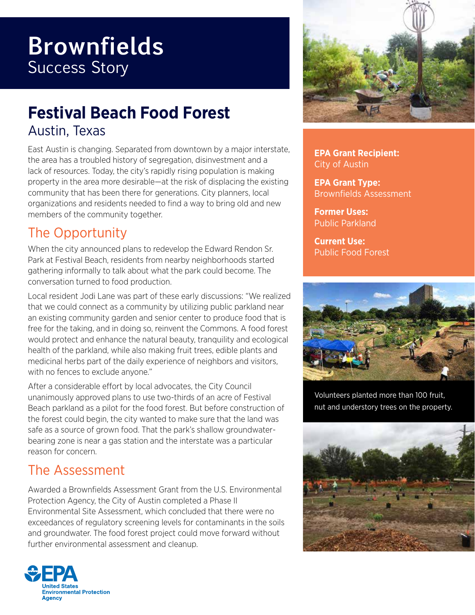# **Brownfields** Success Story

## **Festival Beach Food Forest** Austin, Texas

East Austin is changing. Separated from downtown by a major interstate, the area has a troubled history of segregation, disinvestment and a lack of resources. Today, the city's rapidly rising population is making property in the area more desirable—at the risk of displacing the existing community that has been there for generations. City planners, local organizations and residents needed to find a way to bring old and new members of the community together.

#### The Opportunity

When the city announced plans to redevelop the Edward Rendon Sr. Park at Festival Beach, residents from nearby neighborhoods started gathering informally to talk about what the park could become. The conversation turned to food production.

Local resident Jodi Lane was part of these early discussions: "We realized that we could connect as a community by utilizing public parkland near an existing community garden and senior center to produce food that is free for the taking, and in doing so, reinvent the Commons. A food forest would protect and enhance the natural beauty, tranquility and ecological health of the parkland, while also making fruit trees, edible plants and medicinal herbs part of the daily experience of neighbors and visitors, with no fences to exclude anyone."

After a considerable effort by local advocates, the City Council unanimously approved plans to use two-thirds of an acre of Festival Beach parkland as a pilot for the food forest. But before construction of the forest could begin, the city wanted to make sure that the land was safe as a source of grown food. That the park's shallow groundwaterbearing zone is near a gas station and the interstate was a particular reason for concern.

#### The Assessment

Awarded a Brownfields Assessment Grant from the U.S. Environmental Protection Agency, the City of Austin completed a Phase II Environmental Site Assessment, which concluded that there were no exceedances of regulatory screening levels for contaminants in the soils and groundwater. The food forest project could move forward without further environmental assessment and cleanup.





**EPA Grant Recipient:**  City of Austin

**EPA Grant Type:** Brownfields Assessment

**Former Uses:**  Public Parkland

**Current Use:** Public Food Forest



Volunteers planted more than 100 fruit, nut and understory trees on the property.



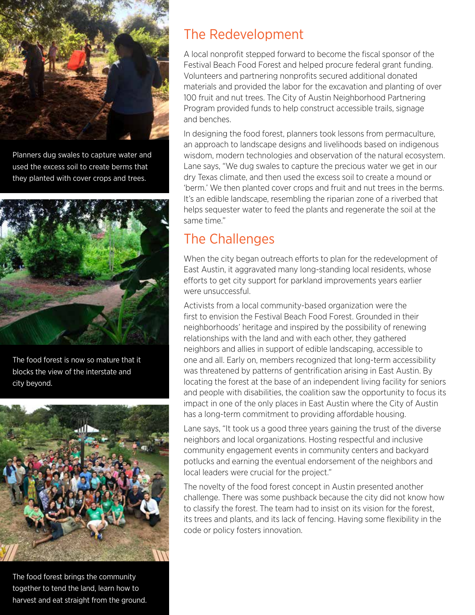

Planners dug swales to capture water and used the excess soil to create berms that they planted with cover crops and trees.



The food forest is now so mature that it blocks the view of the interstate and city beyond.



The food forest brings the community together to tend the land, learn how to harvest and eat straight from the ground.

#### The Redevelopment

A local nonprofit stepped forward to become the fiscal sponsor of the Festival Beach Food Forest and helped procure federal grant funding. Volunteers and partnering nonprofits secured additional donated materials and provided the labor for the excavation and planting of over 100 fruit and nut trees. The City of Austin Neighborhood Partnering Program provided funds to help construct accessible trails, signage and benches.

In designing the food forest, planners took lessons from permaculture, an approach to landscape designs and livelihoods based on indigenous wisdom, modern technologies and observation of the natural ecosystem. Lane says, "We dug swales to capture the precious water we get in our dry Texas climate, and then used the excess soil to create a mound or 'berm.' We then planted cover crops and fruit and nut trees in the berms. It's an edible landscape, resembling the riparian zone of a riverbed that helps sequester water to feed the plants and regenerate the soil at the same time."

### The Challenges

When the city began outreach efforts to plan for the redevelopment of East Austin, it aggravated many long-standing local residents, whose efforts to get city support for parkland improvements years earlier were unsuccessful.

Activists from a local community-based organization were the first to envision the Festival Beach Food Forest. Grounded in their neighborhoods' heritage and inspired by the possibility of renewing relationships with the land and with each other, they gathered neighbors and allies in support of edible landscaping, accessible to one and all. Early on, members recognized that long-term accessibility was threatened by patterns of gentrification arising in East Austin. By locating the forest at the base of an independent living facility for seniors and people with disabilities, the coalition saw the opportunity to focus its impact in one of the only places in East Austin where the City of Austin has a long-term commitment to providing affordable housing.

Lane says, "It took us a good three years gaining the trust of the diverse neighbors and local organizations. Hosting respectful and inclusive community engagement events in community centers and backyard potlucks and earning the eventual endorsement of the neighbors and local leaders were crucial for the project."

The novelty of the food forest concept in Austin presented another challenge. There was some pushback because the city did not know how to classify the forest. The team had to insist on its vision for the forest, its trees and plants, and its lack of fencing. Having some flexibility in the code or policy fosters innovation.